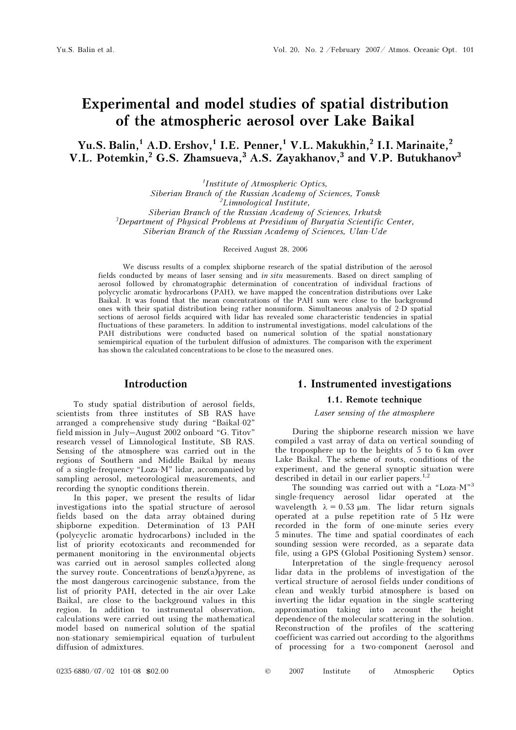# Experimental and model studies of spatial distribution of the atmospheric aerosol over Lake Baikal

Yu.S. Balin,<sup>1</sup> A.D. Ershov,<sup>1</sup> I.E. Penner,<sup>1</sup> V.L. Makukhin,<sup>2</sup> I.I. Marinaite,<sup>2</sup> V.L. Potemkin,<sup>2</sup> G.S. Zhamsueva,<sup>3</sup> A.S. Zayakhanov,<sup>3</sup> and V.P. Butukhanov<sup>3</sup>

1 Institute of Atmospheric Optics,

Siberian Branch of the Russian Academy of Sciences, Tomsk 2 Limnological Institute,

Siberian Branch of the Russian Academy of Sciences, Irkutsk <sup>3</sup>Department of Physical Problems at Presidium of Buryatia Scientific Center, Siberian Branch of the Russian Academy of Sciences, Ulan-Ude

Received August 28, 2006

We discuss results of a complex shipborne research of the spatial distribution of the aerosol fields conducted by means of laser sensing and in situ measurements. Based on direct sampling of aerosol followed by chromatographic determination of concentration of individual fractions of polycyclic aromatic hydrocarbons (PAH), we have mapped the concentration distributions over Lake Baikal. It was found that the mean concentrations of the PAH sum were close to the background ones with their spatial distribution being rather nonuniform. Simultaneous analysis of 2-D spatial sections of aerosol fields acquired with lidar has revealed some characteristic tendencies in spatial fluctuations of these parameters. In addition to instrumental investigations, model calculations of the PAH distributions were conducted based on numerical solution of the spatial nonstationary semiempirical equation of the turbulent diffusion of admixtures. The comparison with the experiment has shown the calculated concentrations to be close to the measured ones.

# Introduction

To study spatial distribution of aerosol fields, scientists from three institutes of SB RAS have arranged a comprehensive study during "Baikal-02" field mission in July–August 2002 onboard "G. Titov" research vessel of Limnological Institute, SB RAS. Sensing of the atmosphere was carried out in the regions of Southern and Middle Baikal by means of a single-frequency "Loza-M" lidar, accompanied by sampling aerosol, meteorological measurements, and recording the synoptic conditions therein.

In this paper, we present the results of lidar investigations into the spatial structure of aerosol fields based on the data array obtained during shipborne expedition. Determination of 13 PAH (polycyclic aromatic hydrocarbons) included in the list of priority ecotoxicants and recommended for permanent monitoring in the environmental objects was carried out in aerosol samples collected along the survey route. Concentrations of benz(a)pyrene, as the most dangerous carcinogenic substance, from the list of priority PAH, detected in the air over Lake Baikal, are close to the background values in this region. In addition to instrumental observation, calculations were carried out using the mathematical model based on numerical solution of the spatial non-stationary semiempirical equation of turbulent diffusion of admixtures.

# 1. Instrumented investigations

#### 1.1. Remote technique

## Laser sensing of the atmosphere

During the shipborne research mission we have compiled a vast array of data on vertical sounding of the troposphere up to the heights of 5 to 6 km over Lake Baikal. The scheme of routs, conditions of the experiment, and the general synoptic situation were described in detail in our earlier papers.<sup>1,2</sup>

The sounding was carried out with a "Loza-M"<sup>3</sup> single-frequency aerosol lidar operated at the wavelength  $\lambda = 0.53$  μm. The lidar return signals operated at a pulse repetition rate of 5 Hz were recorded in the form of one-minute series every 5 minutes. The time and spatial coordinates of each sounding session were recorded, as a separate data file, using a GPS (Global Positioning System) sensor.

 Interpretation of the single-frequency aerosol lidar data in the problems of investigation of the vertical structure of aerosol fields under conditions of clean and weakly turbid atmosphere is based on inverting the lidar equation in the single scattering approximation taking into account the height dependence of the molecular scattering in the solution. Reconstruction of the profiles of the scattering coefficient was carried out according to the algorithms of processing for a two-component (aerosol and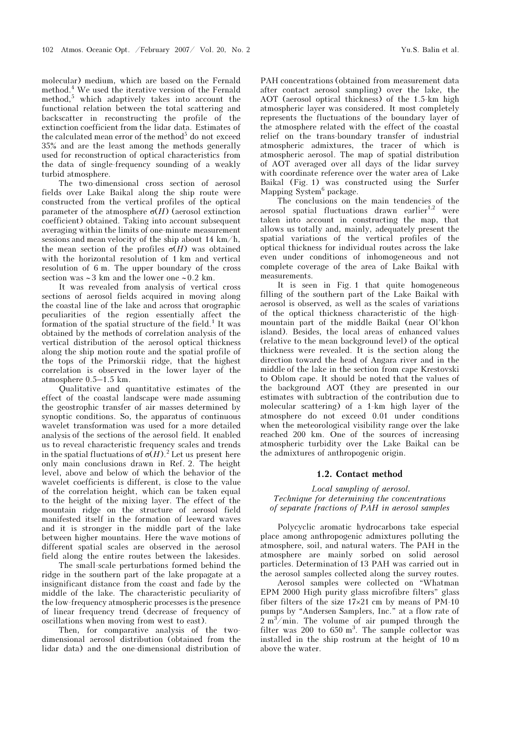molecular) medium, which are based on the Fernald method.<sup>4</sup> We used the iterative version of the Fernald method,<sup>5</sup> which adaptively takes into account the functional relation between the total scattering and backscatter in reconstructing the profile of the extinction coefficient from the lidar data. Estimates of the calculated mean error of the method<sup>5</sup> do not exceed 35% and are the least among the methods generally used for reconstruction of optical characteristics from the data of single-frequency sounding of a weakly turbid atmosphere.

The two-dimensional cross section of aerosol fields over Lake Baikal along the ship route were constructed from the vertical profiles of the optical parameter of the atmosphere  $\sigma(H)$  (aerosol extinction coefficient) obtained. Taking into account subsequent averaging within the limits of one-minute measurement sessions and mean velocity of the ship about 14 km/h, the mean section of the profiles  $\sigma(H)$  was obtained with the horizontal resolution of 1 km and vertical resolution of 6 m. The upper boundary of the cross section was ∼3 km and the lower one ∼0.2 km.

It was revealed from analysis of vertical cross sections of aerosol fields acquired in moving along the coastal line of the lake and across that orographic peculiarities of the region essentially affect the formation of the spatial structure of the field.<sup>1</sup> It was obtained by the methods of correlation analysis of the vertical distribution of the aerosol optical thickness along the ship motion route and the spatial profile of the tops of the Primorskii ridge, that the highest correlation is observed in the lower layer of the atmosphere 0.5–1.5 km.

Qualitative and quantitative estimates of the effect of the coastal landscape were made assuming the geostrophic transfer of air masses determined by synoptic conditions. So, the apparatus of continuous wavelet transformation was used for a more detailed analysis of the sections of the aerosol field. It enabled us to reveal characteristic frequency scales and trends in the spatial fluctuations of  $\sigma(H)$ .<sup>2</sup> Let us present here only main conclusions drawn in Ref. 2. The height level, above and below of which the behavior of the wavelet coefficients is different, is close to the value of the correlation height, which can be taken equal to the height of the mixing layer. The effect of the mountain ridge on the structure of aerosol field manifested itself in the formation of leeward waves and it is stronger in the middle part of the lake between higher mountains. Here the wave motions of different spatial scales are observed in the aerosol field along the entire routes between the lakesides.

 The small-scale perturbations formed behind the ridge in the southern part of the lake propagate at a insignificant distance from the coast and fade by the middle of the lake. The characteristic peculiarity of the low-frequency atmospheric processes is the presence of linear frequency trend (decrease of frequency of oscillations when moving from west to east).

Then, for comparative analysis of the twodimensional aerosol distribution (obtained from the lidar data) and the one-dimensional distribution of

PAH concentrations (obtained from measurement data after contact aerosol sampling) over the lake, the AOT (aerosol optical thickness) of the 1.5-km high atmospheric layer was considered. It most completely represents the fluctuations of the boundary layer of the atmosphere related with the effect of the coastal relief on the trans-boundary transfer of industrial atmospheric admixtures, the tracer of which is atmospheric aerosol. The map of spatial distribution of AOT averaged over all days of the lidar survey with coordinate reference over the water area of Lake Baikal (Fig. 1) was constructed using the Surfer Mapping System<sup>6</sup> package.

The conclusions on the main tendencies of the aerosol spatial fluctuations drawn earlier<sup>1,2</sup> were taken into account in constructing the map, that allows us totally and, mainly, adequately present the spatial variations of the vertical profiles of the optical thickness for individual routes across the lake even under conditions of inhomogeneous and not complete coverage of the area of Lake Baikal with measurements.

It is seen in Fig. 1 that quite homogeneous filling of the southern part of the Lake Baikal with aerosol is observed, as well as the scales of variations of the optical thickness characteristic of the highmountain part of the middle Baikal (near Ol'khon island). Besides, the local areas of enhanced values (relative to the mean background level) of the optical thickness were revealed. It is the section along the direction toward the head of Angara river and in the middle of the lake in the section from cape Krestovski to Oblom cape. It should be noted that the values of the background AOT (they are presented in our estimates with subtraction of the contribution due to molecular scattering) of a 1-km high layer of the atmosphere do not exceed 0.01 under conditions when the meteorological visibility range over the lake reached 200 km. One of the sources of increasing atmospheric turbidity over the Lake Baikal can be the admixtures of anthropogenic origin.

#### 1.2. Contact method

## Local sampling of aerosol. Technique for determining the concentrations of separate fractions of PAH in aerosol samples

Polycyclic aromatic hydrocarbons take especial place among anthropogenic admixtures polluting the atmosphere, soil, and natural waters. The PAH in the atmosphere are mainly sorbed on solid aerosol particles. Determination of 13 PAH was carried out in the aerosol samples collected along the survey routes.

 Aerosol samples were collected on "Whatman EPM 2000 High purity glass microfibre filters" glass fiber filters of the size 17×21 cm by means of PM-10 pumps by "Andersen Samplers, Inc." at a flow rate of  $2 \text{ m}^3/\text{min}$ . The volume of air pumped through the filter was 200 to  $650 \text{ m}^3$ . The sample collector was installed in the ship rostrum at the height of 10 m above the water.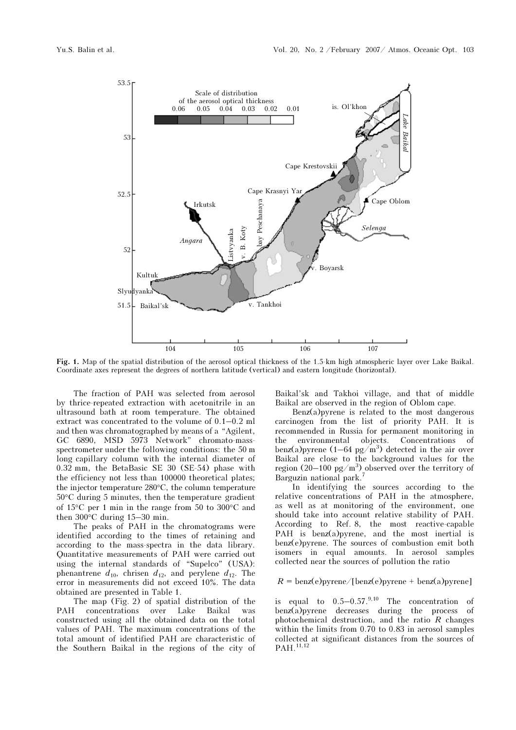

Fig. 1. Map of the spatial distribution of the aerosol optical thickness of the 1.5-km high atmospheric layer over Lake Baikal. Coordinate axes represent the degrees of northern latitude (vertical) and eastern longitude (horizontal).

The fraction of PAH was selected from aerosol by thrice-repeated extraction with acetonitrile in an ultrasound bath at room temperature. The obtained extract was concentrated to the volume of 0.1–0.2 ml and then was chromatographed by means of a "Agilent, GC 6890, MSD 5973 Network" chromato-massspectrometer under the following conditions: the 50 m long capillary column with the internal diameter of 0.32 mm, the BetaBasic SE 30 (SE-54) phase with the efficiency not less than 100000 theoretical plates; the injector temperature 280°C, the column temperature 50°C during 5 minutes, then the temperature gradient of 15°C per 1 min in the range from 50 to 300°C and then 300°C during 15–30 min.

The peaks of PAH in the chromatograms were identified according to the times of retaining and according to the mass-spectra in the data library. Quantitative measurements of PAH were carried out using the internal standards of "Supelco" (USA): phenantrene  $d_{10}$ , chrisen  $d_{12}$ , and perylene  $d_{12}$ . The error in measurements did not exceed 10%. The data obtained are presented in Table 1.

The map (Fig. 2) of spatial distribution of the PAH concentrations over Lake Baikal was constructed using all the obtained data on the total values of PAH. The maximum concentrations of the total amount of identified PAH are characteristic of the Southern Baikal in the regions of the city of Baikal'sk and Takhoi village, and that of middle Baikal are observed in the region of Oblom cape.

Benz(a)pyrene is related to the most dangerous carcinogen from the list of priority PAH. It is recommended in Russia for permanent monitoring in the environmental objects. Concentrations of benz(a) pyrene  $(1-64 \text{ pg/m}^3)$  detected in the air over Baikal are close to the background values for the region  $(20-100 \text{ pg/m}^3)$  observed over the territory of Barguzin national park.<sup>7</sup>

In identifying the sources according to the relative concentrations of PAH in the atmosphere, as well as at monitoring of the environment, one should take into account relative stability of PAH. According to Ref. 8, the most reactive-capable PAH is benz(a)pyrene, and the most inertial is benz(e)pyrene. The sources of combustion emit both isomers in equal amounts. In aerosol samples collected near the sources of pollution the ratio

## $R = \text{benz}(e)$ pyrene/[benz(e)pyrene + benz(a)pyrene]

is equal to  $0.5-0.57^{0,10}$  The concentration of benz(a)pyrene decreases during the process of photochemical destruction, and the ratio  $R$  changes within the limits from 0.70 to 0.83 in aerosol samples collected at significant distances from the sources of PAH.<sup>11,12</sup>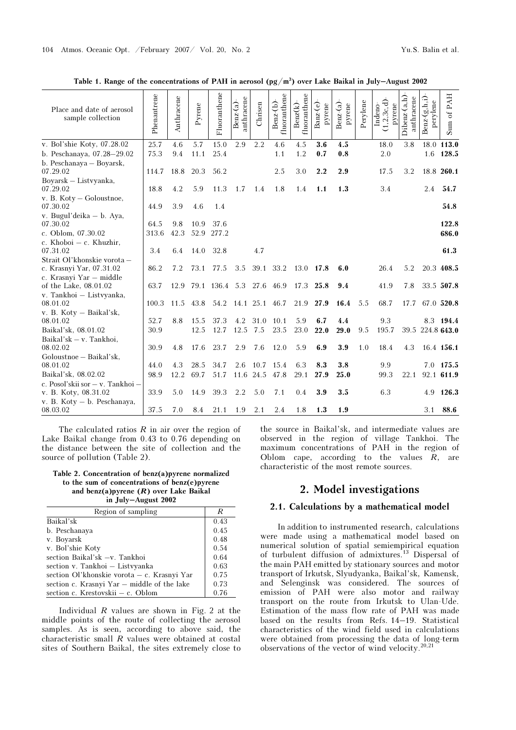| Place and date of aerosol<br>sample collection   | Phenantrene | Anthracene | Pyrene | Fluoranthene | anthracene<br>$Benz-(a)$ | Chrisen           | fluoranthene<br>$Benz-b)$ | fluoranthene<br>$\text{Benz}(k)$ | Banz(e)<br>pyrene | Benz(a)<br>pyrene | Perylene | 1, 2, 3c, d<br>pyrene<br>Indeno- | Dibenz(a,h)<br>anthracene | $Benz-G, h, i)$<br>perylene | PAH<br>Sum of    |
|--------------------------------------------------|-------------|------------|--------|--------------|--------------------------|-------------------|---------------------------|----------------------------------|-------------------|-------------------|----------|----------------------------------|---------------------------|-----------------------------|------------------|
| v. Bol'shie Koty, 07.28.02                       | 25.7        | 4.6        | 5.7    | 15.0         | 2.9                      | 2.2               | 4.6                       | 4.5                              | 3.6               | 4.5               |          | 18.0                             | 3.8                       |                             | 18.0 113.0       |
| b. Peschanaya, 07.28-29.02                       | 75.3        | 9.4        | 11.1   | 25.4         |                          |                   | 1.1                       | 1.2                              | 0.7               | 0.8               |          | 2.0                              |                           | 1.6                         | 128.5            |
| b. Peschanaya - Boyarsk,<br>07.29.02             | 114.7       | 18.8       | 20.3   | 56.2         |                          |                   | 2.5                       | 3.0                              | 2.2               | 2.9               |          | 17.5                             | 3.2                       |                             | 18.8 260.1       |
| Boyarsk - Listyyanka,                            |             |            |        |              |                          |                   |                           |                                  |                   |                   |          |                                  |                           |                             |                  |
| 07.29.02                                         | 18.8        | 4.2        | 5.9    | 11.3         | 1.7                      | 1.4               | 1.8                       | 1.4                              | 1.1               | 1.3               |          | 3.4                              |                           | 2.4                         | 54.7             |
| v. B. Koty – Goloustnoe,<br>07.30.02             | 44.9        | 3.9        | 4.6    | 1.4          |                          |                   |                           |                                  |                   |                   |          |                                  |                           |                             | 54.8             |
| v. Bugul'deika - b. Aya,                         |             |            |        |              |                          |                   |                           |                                  |                   |                   |          |                                  |                           |                             |                  |
| 07.30.02                                         | 64.5        | 9.8        | 10.9   | 37.6         |                          |                   |                           |                                  |                   |                   |          |                                  |                           |                             | 122.8            |
| c. Oblom, 07.30.02                               | 313.6       | 42.3       | 52.9   | 277.2        |                          |                   |                           |                                  |                   |                   |          |                                  |                           |                             | 686.0            |
| c. Khoboi $-$ c. Khuzhir,<br>07.31.02            | 3.4         | 6.4        | 14.0   | 32.8         |                          | 4.7               |                           |                                  |                   |                   |          |                                  |                           |                             | 61.3             |
| Strait Ol'khonskie vorota -                      |             |            |        |              |                          |                   |                           |                                  |                   |                   |          |                                  |                           |                             |                  |
| c. Krasnyi Yar, 07.31.02                         | 86.2        | 7.2        | 73.1   | 77.5         | 3.5                      | 39.1              | 33.2                      | 13.0                             | 17.8              | 6.0               |          | 26.4                             | 5.2                       |                             | 20.3 408.5       |
| c. Krasnyi Yar - middle<br>of the Lake, 08.01.02 | 63.7        | 12.9       | 79.1   | 136.4 5.3    |                          | 27.6              | 46.9                      | 17.3                             | 25.8              | 9.4               |          | 41.9                             | 7.8                       |                             | 33.5 507.8       |
| v. Tankhoi - Listvyanka,                         |             |            |        |              |                          |                   |                           |                                  |                   |                   |          |                                  |                           |                             |                  |
| 08.01.02                                         | 100.3       | 11.5       | 43.8   | 54.2         | 14.1 25.1 46.7           |                   |                           | 21.9                             | 27.9              | 16.4              | 5.5      | 68.7                             | 17.7                      |                             | 67.0 520.8       |
| v. B. Koty - Baikal'sk,                          |             |            |        |              |                          |                   |                           |                                  |                   |                   |          |                                  |                           |                             |                  |
| 08.01.02                                         | 52.7        | 8.8        | 15.5   | 37.3         | 4.2                      | 31.0              | 10.1                      | 5.9                              | 6.7               | 4.4               |          | 9.3                              |                           |                             | 8.3 194.4        |
| Baikal'sk, 08.01.02                              | 30.9        |            | 12.5   | 12.7         | 12.5                     | 7.5               | 23.5                      | 23.0                             | 22.0              | 29.0              | 9.5      | 195.7                            |                           |                             | 39.5 224.8 643.0 |
| Baikal'sk - $v$ . Tankhoi,                       |             |            |        |              |                          |                   |                           |                                  |                   |                   |          |                                  |                           |                             |                  |
| 08.02.02                                         | 30.9        | 4.8        | 17.6   | 23.7         | 2.9                      | 7.6               | 12.0                      | 5.9                              | 6.9               | 3.9               | 1.0      | 18.4                             | 4.3                       |                             | 16.4 156.1       |
| Goloustnoe - Baikal'sk,<br>08.01.02              | 44.0        | 4.3        | 28.5   | 34.7         |                          |                   |                           | 6.3                              | 8.3               | 3.8               |          |                                  |                           |                             | 7.0 175.5        |
| Baikal'sk, 08.02.02                              | 98.9        | 12.2       | 69.7   | 51.7         | 2.6                      | 10.7<br>11.6 24.5 | 15.4<br>47.8              | 29.1                             | 27.9              | 25.0              |          | 9.9<br>99.3                      | 22.1                      |                             | 92.1 611.9       |
| c. Posol'skii sor - v. Tankhoi -                 |             |            |        |              |                          |                   |                           |                                  |                   |                   |          |                                  |                           |                             |                  |
| v. B. Koty, 08.31.02                             | 33.9        | 5.0        | 14.9   | 39.3         | 2.2                      | 5.0               | 7.1                       | 0.4                              | 3.9               | 3.5               |          | 6.3                              |                           | 4.9                         | 126.3            |
| v. B. Koty - b. Peschanaya,                      |             |            |        |              |                          |                   |                           |                                  |                   |                   |          |                                  |                           |                             |                  |
| 08.03.02                                         | 37.5        | 7.0        | 8.4    | 21.1         | 1.9                      | 2.1               | 2.4                       | 1.8                              | 1.3               | 1.9               |          |                                  |                           | 3.1                         | 88.6             |

Table 1. Range of the concentrations of PAH in aerosol  $(pg/m<sup>3</sup>)$  over Lake Baikal in July–August 2002

The calculated ratios  $R$  in air over the region of Lake Baikal change from 0.43 to 0.76 depending on the distance between the site of collection and the source of pollution (Table 2).

#### Table 2. Concentration of benz(a)pyrene normalized to the sum of concentrations of benz(e)pyrene and benz(a)pyrene  $(R)$  over Lake Baikal in July–August 2002

| Region of sampling                          | R    |
|---------------------------------------------|------|
| Baikal'sk                                   | 0.43 |
| b. Peschanaya                               | 0.45 |
| v. Boyarsk                                  | 0.48 |
| v. Bol'shie Koty                            | 0.54 |
| section Baikal'sk -v. Tankhoi               | 0.64 |
| section v. Tankhoi - Listvyanka             | 0.63 |
| section Ol'khonskie vorota - c. Krasnyi Yar | 0.75 |
| section c. Krasnyi Yar – middle of the lake | 0.73 |
| section c. Krestovskii – c. Oblom           | 0.76 |

Individual  $R$  values are shown in Fig. 2 at the middle points of the route of collecting the aerosol samples. As is seen, according to above said, the characteristic small R values were obtained at costal sites of Southern Baikal, the sites extremely close to the source in Baikal'sk, and intermediate values are observed in the region of village Tankhoi. The maximum concentrations of PAH in the region of Oblom cape, according to the values  $R$ , are characteristic of the most remote sources.

# 2. Model investigations

## 2.1. Calculations by a mathematical model

In addition to instrumented research, calculations were made using a mathematical model based on numerical solution of spatial semiempirical equation of turbulent diffusion of admixtures.<sup>13</sup> Dispersal of the main PAH emitted by stationary sources and motor transport of Irkutsk, Slyudyanka, Baikal'sk, Kamensk, and Selenginsk was considered. The sources of emission of PAH were also motor and railway transport on the route from Irkutsk to Ulan-Ude. Estimation of the mass flow rate of PAH was made based on the results from Refs. 14–19. Statistical characteristics of the wind field used in calculations were obtained from processing the data of long-term observations of the vector of wind velocity.20,21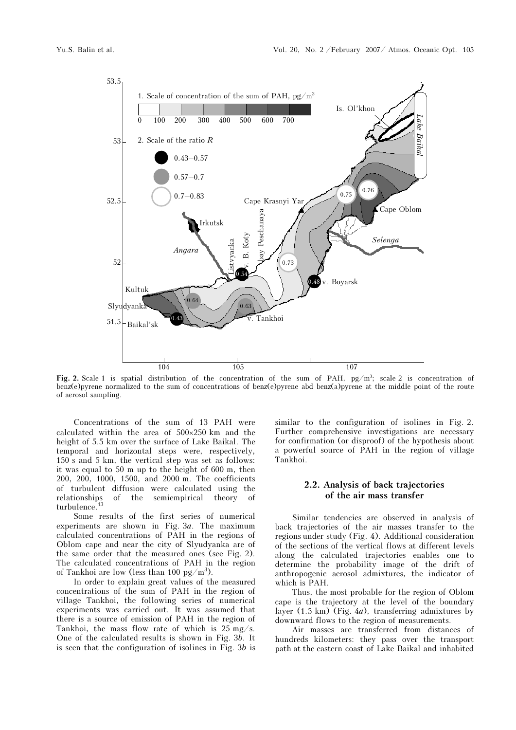

Fig. 2. Scale 1 is spatial distribution of the concentration of the sum of PAH,  $pg/m^3$ ; scale 2 is concentration of benz(e)pyrene normalized to the sum of concentrations of benz(e)pyrene abd benz(a)pyrene at the middle point of the route of aerosol sampling.

Concentrations of the sum of 13 PAH were calculated within the area of 500×250 km and the height of 5.5 km over the surface of Lake Baikal. The temporal and horizontal steps were, respectively, 150 s and 5 km, the vertical step was set as follows: it was equal to 50 m up to the height of 600 m, then 200, 200, 1000, 1500, and 2000 m. The coefficients of turbulent diffusion were calculated using the relationships of the semiempirical theory of turbulence.<sup>13</sup>

Some results of the first series of numerical experiments are shown in Fig.  $3a$ . The maximum calculated concentrations of PAH in the regions of Oblom cape and near the city of Slyudyanka are of the same order that the measured ones (see Fig. 2). The calculated concentrations of PAH in the region of Tankhoi are low (less than 100 pg/m<sup>3</sup>).

In order to explain great values of the measured concentrations of the sum of PAH in the region of village Tankhoi, the following series of numerical experiments was carried out. It was assumed that there is a source of emission of PAH in the region of Tankhoi, the mass flow rate of which is  $25 \text{ mg/s}$ . One of the calculated results is shown in Fig. 3b. It is seen that the configuration of isolines in Fig. 3b is similar to the configuration of isolines in Fig. 2. Further comprehensive investigations are necessary for confirmation (or disproof) of the hypothesis about a powerful source of PAH in the region of village Tankhoi.

# 2.2. Analysis of back trajectories of the air mass transfer

Similar tendencies are observed in analysis of back trajectories of the air masses transfer to the regions under study (Fig. 4). Additional consideration of the sections of the vertical flows at different levels along the calculated trajectories enables one to determine the probability image of the drift of anthropogenic aerosol admixtures, the indicator of which is PAH.

Thus, the most probable for the region of Oblom cape is the trajectory at the level of the boundary layer (1.5 km) (Fig. 4a), transferring admixtures by downward flows to the region of measurements.

Air masses are transferred from distances of hundreds kilometers: they pass over the transport path at the eastern coast of Lake Baikal and inhabited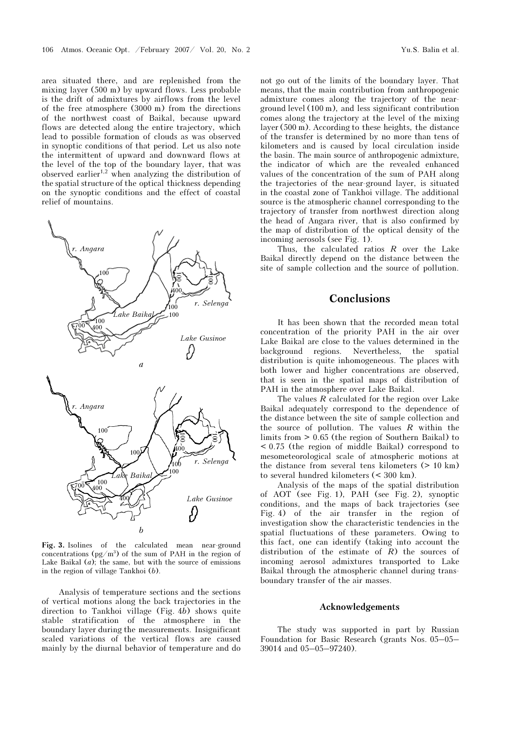area situated there, and are replenished from the mixing layer (500 m) by upward flows. Less probable is the drift of admixtures by airflows from the level of the free atmosphere (3000 m) from the directions of the northwest coast of Baikal, because upward flows are detected along the entire trajectory, which lead to possible formation of clouds as was observed in synoptic conditions of that period. Let us also note the intermittent of upward and downward flows at the level of the top of the boundary layer, that was observed earlier<sup>1,2</sup> when analyzing the distribution of the spatial structure of the optical thickness depending on the synoptic conditions and the effect of coastal relief of mountains.



Fig. 3. Isolines of the calculated mean near-ground concentrations  $(pg/m^3)$  of the sum of PAH in the region of Lake Baikal  $(a)$ ; the same, but with the source of emissions in the region of village Tankhoi (b).

Analysis of temperature sections and the sections of vertical motions along the back trajectories in the direction to Tankhoi village (Fig. 4b) shows quite stable stratification of the atmosphere in the boundary layer during the measurements. Insignificant scaled variations of the vertical flows are caused mainly by the diurnal behavior of temperature and do not go out of the limits of the boundary layer. That means, that the main contribution from anthropogenic admixture comes along the trajectory of the nearground level (100 m), and less significant contribution comes along the trajectory at the level of the mixing layer (500 m). According to these heights, the distance of the transfer is determined by no more than tens of kilometers and is caused by local circulation inside the basin. The main source of anthropogenic admixture, the indicator of which are the revealed enhanced values of the concentration of the sum of PAH along the trajectories of the near-ground layer, is situated in the coastal zone of Tankhoi village. The additional source is the atmospheric channel corresponding to the trajectory of transfer from northwest direction along the head of Angara river, that is also confirmed by the map of distribution of the optical density of the incoming aerosols (see Fig. 1).

Thus, the calculated ratios  $R$  over the Lake Baikal directly depend on the distance between the site of sample collection and the source of pollution.

# **Conclusions**

It has been shown that the recorded mean total concentration of the priority PAH in the air over Lake Baikal are close to the values determined in the background regions. Nevertheless, the spatial distribution is quite inhomogeneous. The places with both lower and higher concentrations are observed, that is seen in the spatial maps of distribution of PAH in the atmosphere over Lake Baikal.

The values  $R$  calculated for the region over Lake Baikal adequately correspond to the dependence of the distance between the site of sample collection and the source of pollution. The values  $R$  within the limits from > 0.65 (the region of Southern Baikal) to < 0.75 (the region of middle Baikal) correspond to mesometeorological scale of atmospheric motions at the distance from several tens kilometers (> 10 km) to several hundred kilometers (< 300 km).

Analysis of the maps of the spatial distribution of AOT (see Fig. 1), PAH (see Fig. 2), synoptic conditions, and the maps of back trajectories (see Fig. 4) of the air transfer in the region of investigation show the characteristic tendencies in the spatial fluctuations of these parameters. Owing to this fact, one can identify (taking into account the distribution of the estimate of  $R$ ) the sources of incoming aerosol admixtures transported to Lake Baikal through the atmospheric channel during transboundary transfer of the air masses.

#### Acknowledgements

The study was supported in part by Russian Foundation for Basic Research (grants Nos. 05–05– 39014 and 05–05–97240).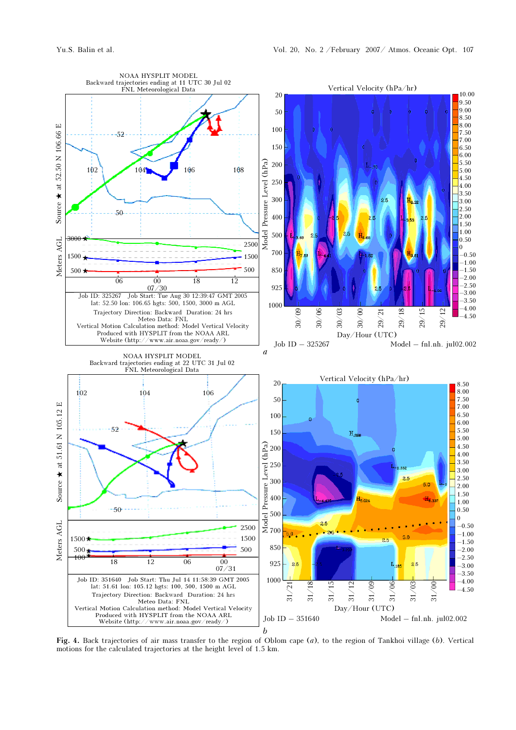

Fig. 4. Back trajectories of air mass transfer to the region of Oblom cape (a), to the region of Tankhoi village (b). Vertical motions for the calculated trajectories at the height level of 1.5 km.